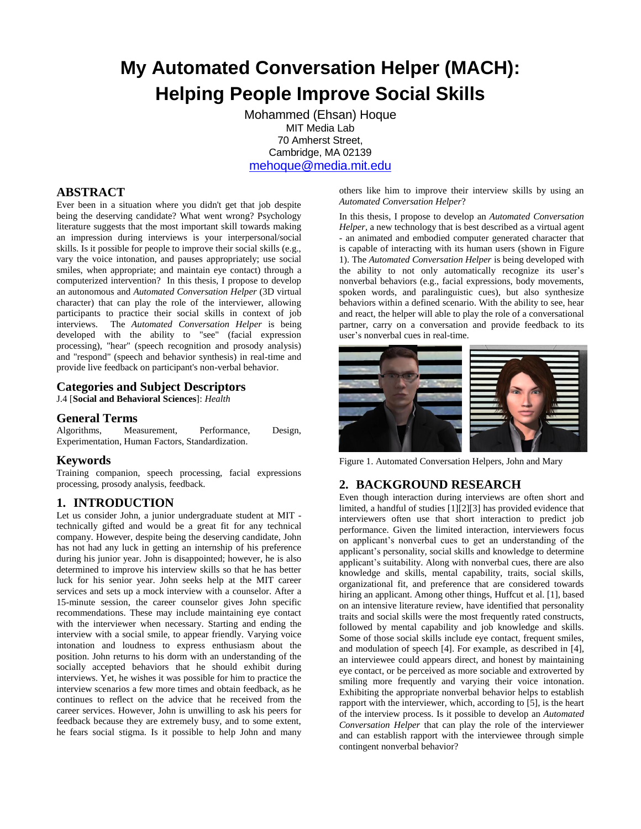# **My Automated Conversation Helper (MACH): Helping People Improve Social Skills**

Mohammed (Ehsan) Hoque MIT Media Lab 70 Amherst Street, Cambridge, MA 02139 [mehoque@media.mit.edu](mailto:mehoque@media.mit.edu)

# **ABSTRACT**

Ever been in a situation where you didn't get that job despite being the deserving candidate? What went wrong? Psychology literature suggests that the most important skill towards making an impression during interviews is your interpersonal/social skills. Is it possible for people to improve their social skills (e.g., vary the voice intonation, and pauses appropriately; use social smiles, when appropriate; and maintain eye contact) through a computerized intervention? In this thesis, I propose to develop an autonomous and *Automated Conversation Helper* (3D virtual character) that can play the role of the interviewer, allowing participants to practice their social skills in context of job interviews. The *Automated Conversation Helper* is being developed with the ability to "see" (facial expression processing), "hear" (speech recognition and prosody analysis) and "respond" (speech and behavior synthesis) in real-time and provide live feedback on participant's non-verbal behavior.

## **Categories and Subject Descriptors**

J.4 [**Social and Behavioral Sciences**]: *Health*

#### **General Terms**

Algorithms, Measurement, Performance, Design, Experimentation, Human Factors, Standardization.

#### **Keywords**

Training companion, speech processing, facial expressions processing, prosody analysis, feedback.

## **1. INTRODUCTION**

Let us consider John, a junior undergraduate student at MIT technically gifted and would be a great fit for any technical company. However, despite being the deserving candidate, John has not had any luck in getting an internship of his preference during his junior year. John is disappointed; however, he is also determined to improve his interview skills so that he has better luck for his senior year. John seeks help at the MIT career services and sets up a mock interview with a counselor. After a 15-minute session, the career counselor gives John specific recommendations. These may include maintaining eye contact with the interviewer when necessary. Starting and ending the interview with a social smile, to appear friendly. Varying voice intonation and loudness to express enthusiasm about the position. John returns to his dorm with an understanding of the socially accepted behaviors that he should exhibit during interviews. Yet, he wishes it was possible for him to practice the interview scenarios a few more times and obtain feedback, as he continues to reflect on the advice that he received from the career services. However, John is unwilling to ask his peers for feedback because they are extremely busy, and to some extent, he fears social stigma. Is it possible to help John and many

others like him to improve their interview skills by using an *Automated Conversation Helper*?

In this thesis, I propose to develop an *Automated Conversation Helper*, a new technology that is best described as a virtual agent - an animated and embodied computer generated character that is capable of interacting with its human users (shown in [Figure](#page-0-0)  [1\)](#page-0-0). The *Automated Conversation Helper* is being developed with the ability to not only automatically recognize its user's nonverbal behaviors (e.g., facial expressions, body movements, spoken words, and paralinguistic cues), but also synthesize behaviors within a defined scenario. With the ability to see, hear and react, the helper will able to play the role of a conversational partner, carry on a conversation and provide feedback to its user's nonverbal cues in real-time.



Figure 1. Automated Conversation Helpers, John and Mary

## <span id="page-0-0"></span>**2. BACKGROUND RESEARCH**

Even though interaction during interviews are often short and limited, a handful of studies [1][2][3] has provided evidence that interviewers often use that short interaction to predict job performance. Given the limited interaction, interviewers focus on applicant's nonverbal cues to get an understanding of the applicant's personality, social skills and knowledge to determine applicant's suitability. Along with nonverbal cues, there are also knowledge and skills, mental capability, traits, social skills, organizational fit, and preference that are considered towards hiring an applicant. Among other things, Huffcut et al. [1], based on an intensive literature review, have identified that personality traits and social skills were the most frequently rated constructs, followed by mental capability and job knowledge and skills. Some of those social skills include eye contact, frequent smiles, and modulation of speech [4]. For example, as described in [4], an interviewee could appears direct, and honest by maintaining eye contact, or be perceived as more sociable and extroverted by smiling more frequently and varying their voice intonation. Exhibiting the appropriate nonverbal behavior helps to establish rapport with the interviewer, which, according to [5], is the heart of the interview process. Is it possible to develop an *Automated Conversation Helper* that can play the role of the interviewer and can establish rapport with the interviewee through simple contingent nonverbal behavior?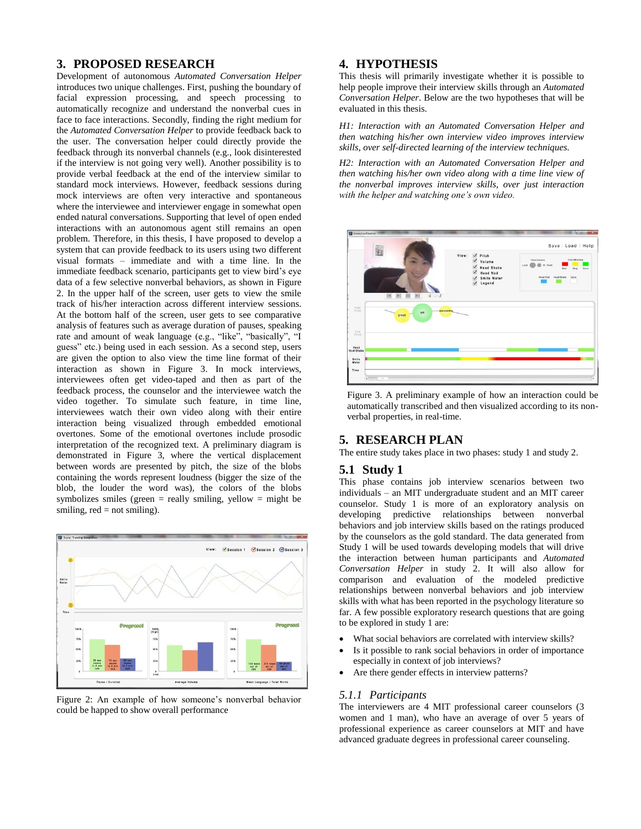## **3. PROPOSED RESEARCH**

Development of autonomous *Automated Conversation Helper*  introduces two unique challenges. First, pushing the boundary of facial expression processing, and speech processing to automatically recognize and understand the nonverbal cues in face to face interactions. Secondly, finding the right medium for the *Automated Conversation Helper* to provide feedback back to the user. The conversation helper could directly provide the feedback through its nonverbal channels (e.g., look disinterested if the interview is not going very well). Another possibility is to provide verbal feedback at the end of the interview similar to standard mock interviews. However, feedback sessions during mock interviews are often very interactive and spontaneous where the interviewee and interviewer engage in somewhat open ended natural conversations. Supporting that level of open ended interactions with an autonomous agent still remains an open problem. Therefore, in this thesis, I have proposed to develop a system that can provide feedback to its users using two different visual formats – immediate and with a time line. In the immediate feedback scenario, participants get to view bird's eye data of a few selective nonverbal behaviors, as shown in [Figure](#page-1-0)  [2.](#page-1-0) In the upper half of the screen, user gets to view the smile track of his/her interaction across different interview sessions. At the bottom half of the screen, user gets to see comparative analysis of features such as average duration of pauses, speaking rate and amount of weak language (e.g., "like", "basically", "I guess" etc.) being used in each session. As a second step, users are given the option to also view the time line format of their interaction as shown in [Figure 3.](#page-1-1) In mock interviews, interviewees often get video-taped and then as part of the feedback process, the counselor and the interviewee watch the video together. To simulate such feature, in time line, interviewees watch their own video along with their entire interaction being visualized through embedded emotional overtones. Some of the emotional overtones include prosodic interpretation of the recognized text. A preliminary diagram is demonstrated in [Figure 3,](#page-1-1) where the vertical displacement between words are presented by pitch, the size of the blobs containing the words represent loudness (bigger the size of the blob, the louder the word was), the colors of the blobs symbolizes smiles (green  $=$  really smiling, yellow  $=$  might be smiling,  $red = not$  smiling).



<span id="page-1-0"></span>Figure 2: An example of how someone's nonverbal behavior could be happed to show overall performance

### **4. HYPOTHESIS**

This thesis will primarily investigate whether it is possible to help people improve their interview skills through an *Automated Conversation Helper*. Below are the two hypotheses that will be evaluated in this thesis.

*H1: Interaction with an Automated Conversation Helper and then watching his/her own interview video improves interview skills, over self-directed learning of the interview techniques.* 

*H2: Interaction with an Automated Conversation Helper and then watching his/her own video along with a time line view of the nonverbal improves interview skills, over just interaction with the helper and watching one's own video.* 



<span id="page-1-1"></span>Figure 3. A preliminary example of how an interaction could be automatically transcribed and then visualized according to its nonverbal properties, in real-time.

## **5. RESEARCH PLAN**

The entire study takes place in two phases: study 1 and study 2.

#### **5.1 Study 1**

This phase contains job interview scenarios between two individuals – an MIT undergraduate student and an MIT career counselor. Study 1 is more of an exploratory analysis on developing predictive relationships between nonverbal behaviors and job interview skills based on the ratings produced by the counselors as the gold standard. The data generated from Study 1 will be used towards developing models that will drive the interaction between human participants and *Automated Conversation Helper* in study 2. It will also allow for comparison and evaluation of the modeled predictive relationships between nonverbal behaviors and job interview skills with what has been reported in the psychology literature so far. A few possible exploratory research questions that are going to be explored in study 1 are:

- What social behaviors are correlated with interview skills?
- Is it possible to rank social behaviors in order of importance especially in context of job interviews?
- Are there gender effects in interview patterns?

#### *5.1.1 Participants*

The interviewers are 4 MIT professional career counselors (3 women and 1 man), who have an average of over 5 years of professional experience as career counselors at MIT and have advanced graduate degrees in professional career counseling.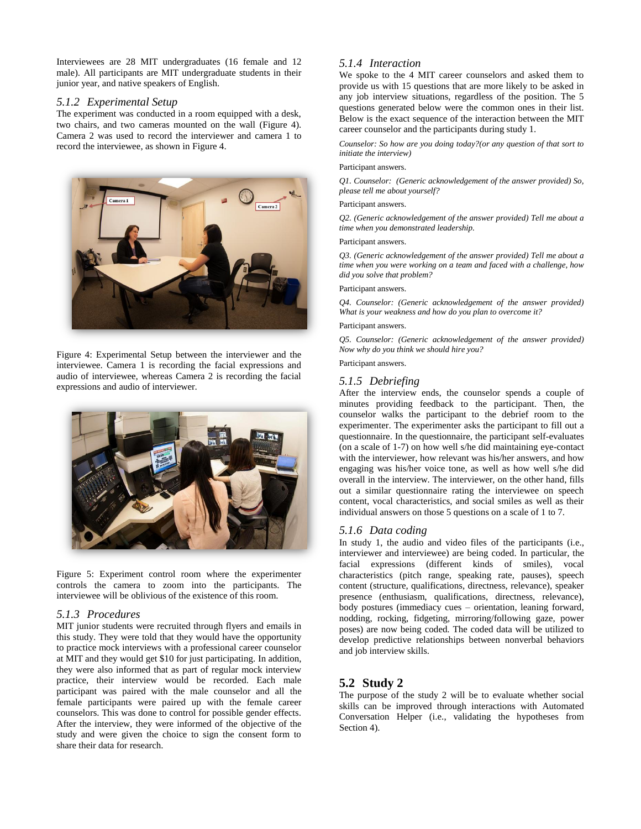Interviewees are 28 MIT undergraduates (16 female and 12 male). All participants are MIT undergraduate students in their junior year, and native speakers of English.

### *5.1.2 Experimental Setup*

The experiment was conducted in a room equipped with a desk, two chairs, and two cameras mounted on the wall [\(Figure 4\)](#page-2-0). Camera 2 was used to record the interviewer and camera 1 to record the interviewee, as shown i[n Figure 4.](#page-2-0)



<span id="page-2-0"></span>Figure 4: Experimental Setup between the interviewer and the interviewee. Camera 1 is recording the facial expressions and audio of interviewee, whereas Camera 2 is recording the facial expressions and audio of interviewer.



Figure 5: Experiment control room where the experimenter controls the camera to zoom into the participants. The interviewee will be oblivious of the existence of this room.

## *5.1.3 Procedures*

MIT junior students were recruited through flyers and emails in this study. They were told that they would have the opportunity to practice mock interviews with a professional career counselor at MIT and they would get \$10 for just participating. In addition, they were also informed that as part of regular mock interview practice, their interview would be recorded. Each male participant was paired with the male counselor and all the female participants were paired up with the female career counselors. This was done to control for possible gender effects. After the interview, they were informed of the objective of the study and were given the choice to sign the consent form to share their data for research.

## *5.1.4 Interaction*

We spoke to the 4 MIT career counselors and asked them to provide us with 15 questions that are more likely to be asked in any job interview situations, regardless of the position. The 5 questions generated below were the common ones in their list. Below is the exact sequence of the interaction between the MIT career counselor and the participants during study 1.

*Counselor: So how are you doing today?(or any question of that sort to initiate the interview)*

#### Participant answers.

*Q1. Counselor: (Generic acknowledgement of the answer provided) So, please tell me about yourself?*

#### Participant answers.

*Q2. (Generic acknowledgement of the answer provided) Tell me about a time when you demonstrated leadership.* 

#### Participant answers.

*Q3. (Generic acknowledgement of the answer provided) Tell me about a time when you were working on a team and faced with a challenge, how did you solve that problem?* 

#### Participant answers.

*Q4. Counselor: (Generic acknowledgement of the answer provided) What is your weakness and how do you plan to overcome it?*

#### Participant answers.

*Q5. Counselor: (Generic acknowledgement of the answer provided) Now why do you think we should hire you?*

Participant answers.

#### *5.1.5 Debriefing*

After the interview ends, the counselor spends a couple of minutes providing feedback to the participant. Then, the counselor walks the participant to the debrief room to the experimenter. The experimenter asks the participant to fill out a questionnaire. In the questionnaire, the participant self-evaluates (on a scale of 1-7) on how well s/he did maintaining eye-contact with the interviewer, how relevant was his/her answers, and how engaging was his/her voice tone, as well as how well s/he did overall in the interview. The interviewer, on the other hand, fills out a similar questionnaire rating the interviewee on speech content, vocal characteristics, and social smiles as well as their individual answers on those 5 questions on a scale of 1 to 7.

#### *5.1.6 Data coding*

In study 1, the audio and video files of the participants (i.e., interviewer and interviewee) are being coded. In particular, the facial expressions (different kinds of smiles), vocal characteristics (pitch range, speaking rate, pauses), speech content (structure, qualifications, directness, relevance), speaker presence (enthusiasm, qualifications, directness, relevance), body postures (immediacy cues – orientation, leaning forward, nodding, rocking, fidgeting, mirroring/following gaze, power poses) are now being coded. The coded data will be utilized to develop predictive relationships between nonverbal behaviors and job interview skills.

## **5.2 Study 2**

The purpose of the study 2 will be to evaluate whether social skills can be improved through interactions with Automated Conversation Helper (i.e., validating the hypotheses from Section 4).